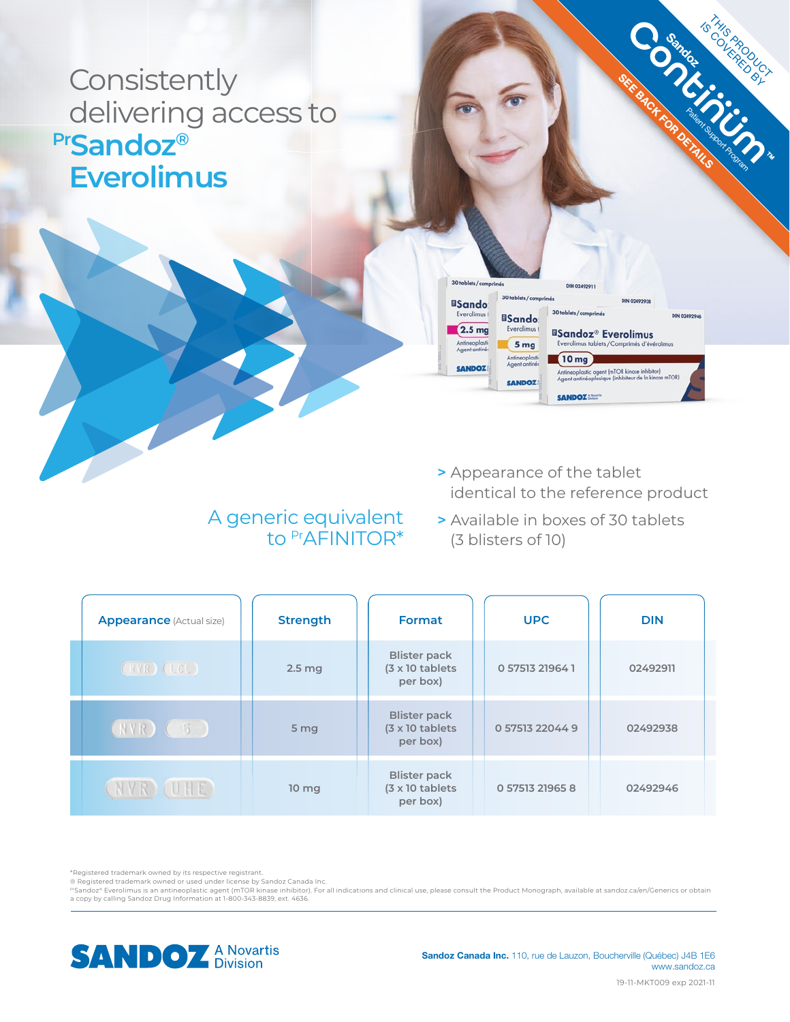## **Consistently** delivering access to **PrSandoz® Everolimus**



**SEE BACK FOR DETAILS** 

**Sandoz** 

Is THIS PRODUCT

### A generic equivalent to PrAFINITOR\*

- **>** Appearance of the tablet identical to the reference product
- **>** Available in boxes of 30 tablets (3 blisters of 10)

| <b>Appearance</b> (Actual size) | <b>Strength</b>  | Format                                                             | <b>UPC</b>      | <b>DIN</b> |
|---------------------------------|------------------|--------------------------------------------------------------------|-----------------|------------|
| (NVR)(LCI)                      | $2.5$ mg         | <b>Blister pack</b><br>$(3 \times 10 \text{ tablets})$<br>per box) | 0 57513 21964 1 | 02492911   |
| $(NVR)$ (5)                     | 5 mg             | <b>Blister pack</b><br>$(3 \times 10 \text{ tablets})$<br>per box) | 0 57513 22044 9 | 02492938   |
| NVR) (UHE)                      | 10 <sub>mg</sub> | <b>Blister pack</b><br>$(3 \times 10 \text{ tablets})$<br>per box) | 0 57513 21965 8 | 02492946   |

\*Registered trademark owned by its respective registrant.

® Registered trademark owned or used under license by Sandoz Canada Inc.

"Sandoz® Everolimus is an antineoplastic agent (mTOR kinase inhibitor). For all indications and clinical use, please consult the Product Monograph, available at sandoz.ca/en/Generics or obtain<br>a copy by calling Sandoz Drug